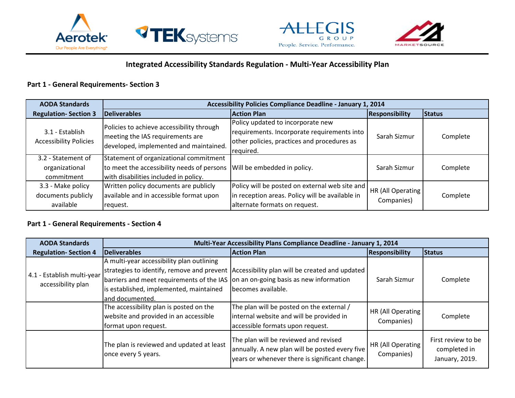





## **Integrated Accessibility Standards Regulation - Multi-Year Accessibility Plan**

#### **Part 1 - General Requirements- Section 3**

| <b>AODA Standards</b>                                | Accessibility Policies Compliance Deadline - January 1, 2014                                                                  |                                                                                                                                              |                                 |               |
|------------------------------------------------------|-------------------------------------------------------------------------------------------------------------------------------|----------------------------------------------------------------------------------------------------------------------------------------------|---------------------------------|---------------|
| <b>Regulation-Section 3</b>                          | <b>Deliverables</b>                                                                                                           | <b>Action Plan</b>                                                                                                                           | <b>Responsibility</b>           | <b>Status</b> |
| 3.1 - Establish<br><b>Accessibility Policies</b>     | Policies to achieve accessibility through<br>meeting the IAS requirements are<br>developed, implemented and maintained.       | Policy updated to incorporate new<br>requirements. Incorporate requirements into<br>other policies, practices and procedures as<br>required. | Sarah Sizmur                    | Complete      |
| 3.2 - Statement of<br>organizational<br>commitment   | Statement of organizational commitment<br>to meet the accessibility needs of persons<br>with disabilities included in policy. | Will be embedded in policy.                                                                                                                  | Sarah Sizmur                    | Complete      |
| 3.3 - Make policy<br>documents publicly<br>available | Written policy documents are publicly<br>available and in accessible format upon<br>request.                                  | Policy will be posted on external web site and<br>in reception areas. Policy will be available in<br>alternate formats on request.           | HR (All Operating<br>Companies) | Complete      |

#### **Part 1 - General Requirements - Section 4**

| <b>AODA Standards</b>                            | Multi-Year Accessibility Plans Compliance Deadline - January 1, 2014                                                                                                                          |                                                                                                                                           |                                 |                                                      |  |
|--------------------------------------------------|-----------------------------------------------------------------------------------------------------------------------------------------------------------------------------------------------|-------------------------------------------------------------------------------------------------------------------------------------------|---------------------------------|------------------------------------------------------|--|
| <b>Regulation-Section 4</b>                      | Deliverables                                                                                                                                                                                  | <b>Action Plan</b>                                                                                                                        | <b>Responsibility</b>           | <b>Status</b>                                        |  |
| 4.1 - Establish multi-year<br>accessibility plan | A multi-year accessibility plan outlining<br>barriers and meet requirements of the IAS on an on-going basis as new information<br>is established, implemented, maintained<br>land documented. | strategies to identify, remove and prevent Accessibility plan will be created and updated<br>becomes available.                           | Sarah Sizmur                    | Complete                                             |  |
|                                                  | The accessibility plan is posted on the<br>website and provided in an accessible<br>format upon request.                                                                                      | The plan will be posted on the external /<br>internal website and will be provided in<br>accessible formats upon request.                 | HR (All Operating<br>Companies) | Complete                                             |  |
|                                                  | The plan is reviewed and updated at least<br>once every 5 years.                                                                                                                              | The plan will be reviewed and revised<br>annually. A new plan will be posted every five<br>years or whenever there is significant change. | HR (All Operating<br>Companies) | First review to be<br>completed in<br>January, 2019. |  |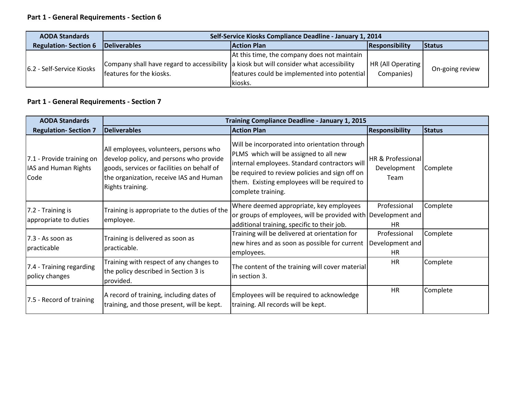# **Part 1 - General Requirements - Section 6**

| <b>AODA Standards</b>       | Self-Service Kiosks Compliance Deadline - January 1, 2014                               |                                              |                   |                 |
|-----------------------------|-----------------------------------------------------------------------------------------|----------------------------------------------|-------------------|-----------------|
| <b>Regulation-Section 6</b> | <b>Deliverables</b>                                                                     | <b>Action Plan</b>                           | Responsibility    | Status          |
|                             |                                                                                         | At this time, the company does not maintain  |                   |                 |
| 6.2 - Self-Service Kiosks   | Company shall have regard to accessibility a kiosk but will consider what accessibility |                                              | HR (All Operating | On-going review |
|                             | features for the kiosks.                                                                | features could be implemented into potential | Companies)        |                 |
|                             |                                                                                         | Ikiosks.                                     |                   |                 |

# **Part 1 - General Requirements - Section 7**

| <b>AODA Standards</b>                                     |                                                                                                                                                                                                | Training Compliance Deadline - January 1, 2015                                                                                                                                                                                                                   |                                          |               |  |
|-----------------------------------------------------------|------------------------------------------------------------------------------------------------------------------------------------------------------------------------------------------------|------------------------------------------------------------------------------------------------------------------------------------------------------------------------------------------------------------------------------------------------------------------|------------------------------------------|---------------|--|
| <b>Regulation-Section 7</b>                               | Deliverables                                                                                                                                                                                   | <b>Action Plan</b>                                                                                                                                                                                                                                               | <b>Responsibility</b>                    | <b>Status</b> |  |
| 7.1 - Provide training on<br>IAS and Human Rights<br>Code | All employees, volunteers, persons who<br>develop policy, and persons who provide<br>goods, services or facilities on behalf of<br>the organization, receive IAS and Human<br>Rights training. | Will be incorporated into orientation through<br>PLMS which will be assigned to all new<br>internal employees. Standard contractors will<br>be required to review policies and sign off on<br>them. Existing employees will be required to<br>complete training. | HR & Professional<br>Development<br>Team | Complete      |  |
| 7.2 - Training is<br>appropriate to duties                | Training is appropriate to the duties of the<br>employee.                                                                                                                                      | Where deemed appropriate, key employees<br>or groups of employees, will be provided with Development and<br>additional training, specific to their job.                                                                                                          | Professional<br>HR.                      | Complete      |  |
| $7.3 - As soon as$<br>practicable                         | Training is delivered as soon as<br>practicable.                                                                                                                                               | Training will be delivered at orientation for<br>new hires and as soon as possible for current<br>employees.                                                                                                                                                     | Professional<br>Development and<br>HR    | Complete      |  |
| 7.4 - Training regarding<br>policy changes                | Training with respect of any changes to<br>the policy described in Section 3 is<br>provided.                                                                                                   | The content of the training will cover material<br>in section 3.                                                                                                                                                                                                 | HR                                       | Complete      |  |
| 7.5 - Record of training                                  | A record of training, including dates of<br>training, and those present, will be kept.                                                                                                         | Employees will be required to acknowledge<br>training. All records will be kept.                                                                                                                                                                                 | <b>HR</b>                                | Complete      |  |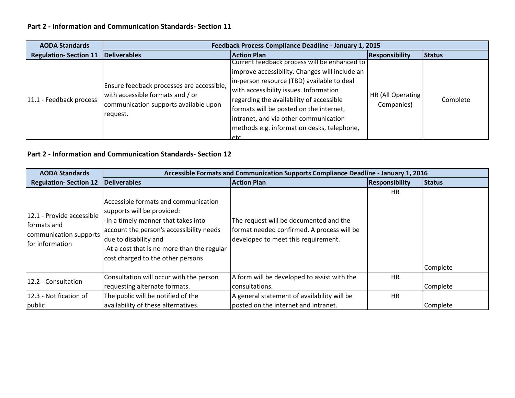# **Part 2 - Information and Communication Standards- Section 11**

| <b>AODA Standards</b>        | Feedback Process Compliance Deadline - January 1, 2015                                                                             |                                                                                                                                                                                                                                                                                                                                                                              |                                 |          |
|------------------------------|------------------------------------------------------------------------------------------------------------------------------------|------------------------------------------------------------------------------------------------------------------------------------------------------------------------------------------------------------------------------------------------------------------------------------------------------------------------------------------------------------------------------|---------------------------------|----------|
| <b>Regulation-Section 11</b> | <b>Deliverables</b>                                                                                                                | <b>Action Plan</b>                                                                                                                                                                                                                                                                                                                                                           | <b>Responsibility</b>           | Status   |
| 11.1 - Feedback process      | Ensure feedback processes are accessible,<br>with accessible formats and / or<br>communication supports available upon<br>request. | Current feedback process will be enhanced to<br>Improve accessibility. Changes will include an<br>in-person resource (TBD) available to deal<br>with accessibility issues. Information<br>regarding the availability of accessible<br>formats will be posted on the internet,<br>intranet, and via other communication<br>methods e.g. information desks, telephone,<br>letc | HR (All Operating<br>Companies) | Complete |

## **Part 2 - Information and Communication Standards- Section 12**

| <b>AODA Standards</b>                                                                 | Accessible Formats and Communication Supports Compliance Deadline - January 1, 2016                                                                                                                                                                                |                                                                                                                             |                       |               |
|---------------------------------------------------------------------------------------|--------------------------------------------------------------------------------------------------------------------------------------------------------------------------------------------------------------------------------------------------------------------|-----------------------------------------------------------------------------------------------------------------------------|-----------------------|---------------|
| <b>Regulation-Section 12</b>                                                          | Deliverables                                                                                                                                                                                                                                                       | <b>Action Plan</b>                                                                                                          | <b>Responsibility</b> | <b>Status</b> |
| 12.1 - Provide accessible<br>formats and<br>communication supports<br>for information | Accessible formats and communication<br>supports will be provided:<br>-In a timely manner that takes into<br>account the person's accessibility needs<br>due to disability and<br>-At a cost that is no more than the regular<br>cost charged to the other persons | The request will be documented and the<br>format needed confirmed. A process will be<br>developed to meet this requirement. | <b>HR</b>             | Complete      |
| 12.2 - Consultation                                                                   | Consultation will occur with the person<br>requesting alternate formats.                                                                                                                                                                                           | A form will be developed to assist with the<br>consultations.                                                               | <b>HR</b>             | Complete      |
| 12.3 - Notification of                                                                | The public will be notified of the<br>availability of these alternatives.                                                                                                                                                                                          | A general statement of availability will be                                                                                 | <b>HR</b>             |               |
| public                                                                                |                                                                                                                                                                                                                                                                    | posted on the internet and intranet.                                                                                        |                       | Complete      |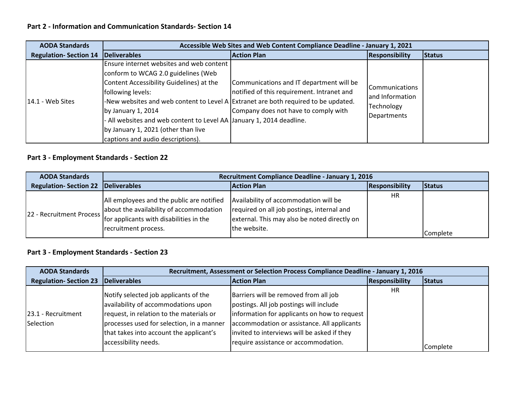## **Part 2 - Information and Communication Standards- Section 14**

| <b>AODA Standards</b>        | Accessible Web Sites and Web Content Compliance Deadline - January 1, 2021                                                                                                                                                                                                                                                                                                                                       |                                                                                                                                |                                                                        |               |
|------------------------------|------------------------------------------------------------------------------------------------------------------------------------------------------------------------------------------------------------------------------------------------------------------------------------------------------------------------------------------------------------------------------------------------------------------|--------------------------------------------------------------------------------------------------------------------------------|------------------------------------------------------------------------|---------------|
| <b>Regulation-Section 14</b> | <b>Deliverables</b>                                                                                                                                                                                                                                                                                                                                                                                              | <b>Action Plan</b>                                                                                                             | <b>Responsibility</b>                                                  | <b>Status</b> |
| $14.1 - Web Sites$           | Ensure internet websites and web content<br>conform to WCAG 2.0 guidelines (Web<br>Content Accessibility Guidelines) at the<br>following levels:<br>-New websites and web content to Level A Extranet are both required to be updated.<br>by January 1, 2014<br>- All websites and web content to Level AA January 1, 2014 deadline.<br>by January 1, 2021 (other than live<br>captions and audio descriptions). | Communications and IT department will be<br>notified of this requirement. Intranet and<br>Company does not have to comply with | <b>ICommunications</b><br>and Information<br>Technology<br>Departments |               |

#### **Part 3 - Employment Standards - Section 22**

| <b>AODA Standards</b>        | Recruitment Compliance Deadline - January 1, 2016                                                                                                       |                                                                                                                                                     |                       |               |
|------------------------------|---------------------------------------------------------------------------------------------------------------------------------------------------------|-----------------------------------------------------------------------------------------------------------------------------------------------------|-----------------------|---------------|
| <b>Regulation-Section 22</b> | Deliverables                                                                                                                                            | <b>Action Plan</b>                                                                                                                                  | <b>Responsibility</b> | <b>Status</b> |
| 22 - Recruitment Process     | All employees and the public are notified<br>about the availability of accommodation<br>for applicants with disabilities in the<br>recruitment process. | Availability of accommodation will be<br>required on all job postings, internal and<br>external. This may also be noted directly on<br>the website. | <b>HR</b>             | Complete      |

| <b>AODA Standards</b>           | Recruitment, Assessment or Selection Process Compliance Deadline - January 1, 2016                                                                                                                                                       |                                                                                                                                                                                                                                                                        |                       |               |
|---------------------------------|------------------------------------------------------------------------------------------------------------------------------------------------------------------------------------------------------------------------------------------|------------------------------------------------------------------------------------------------------------------------------------------------------------------------------------------------------------------------------------------------------------------------|-----------------------|---------------|
| <b>Regulation-Section 23</b>    | Deliverables                                                                                                                                                                                                                             | <b>Action Plan</b>                                                                                                                                                                                                                                                     | <b>Responsibility</b> | <b>Status</b> |
| 23.1 - Recruitment<br>Selection | Notify selected job applicants of the<br>availability of accommodations upon<br>request, in relation to the materials or<br>processes used for selection, in a manner<br>that takes into account the applicant's<br>accessibility needs. | Barriers will be removed from all job<br>postings. All job postings will include<br>information for applicants on how to request<br>accommodation or assistance. All applicants<br>invited to interviews will be asked if they<br>require assistance or accommodation. | <b>HR</b>             |               |
|                                 |                                                                                                                                                                                                                                          |                                                                                                                                                                                                                                                                        |                       | Complete      |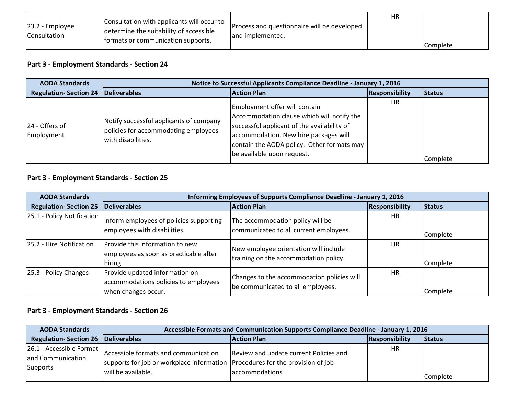| 23.2 - Employee<br><b>IConsultation</b> | Consultation with applicants will occur to<br>determine the suitability of accessible<br>formats or communication supports. | Process and questionnaire will be developed<br>land implemented. | <b>HR</b> | <b>Complete</b> |
|-----------------------------------------|-----------------------------------------------------------------------------------------------------------------------------|------------------------------------------------------------------|-----------|-----------------|
|-----------------------------------------|-----------------------------------------------------------------------------------------------------------------------------|------------------------------------------------------------------|-----------|-----------------|

| <b>AODA Standards</b>        | Notice to Successful Applicants Compliance Deadline - January 1, 2016                                 |                                                                                                                                                                                                                                                 |                |          |
|------------------------------|-------------------------------------------------------------------------------------------------------|-------------------------------------------------------------------------------------------------------------------------------------------------------------------------------------------------------------------------------------------------|----------------|----------|
| <b>Regulation-Section 24</b> | <b>Deliverables</b>                                                                                   | <b>Action Plan</b>                                                                                                                                                                                                                              | Responsibility | Status   |
| 24 - Offers of<br>Employment | Notify successful applicants of company<br>policies for accommodating employees<br>with disabilities. | Employment offer will contain<br>Accommodation clause which will notify the<br>successful applicant of the availability of<br>accommodation. New hire packages will<br>contain the AODA policy. Other formats may<br>be available upon request. | HR             | Complete |

# **Part 3 - Employment Standards - Section 25**

| <b>AODA Standards</b>        | Informing Employees of Supports Compliance Deadline - January 1, 2016                         |                                                                                 |                       |          |
|------------------------------|-----------------------------------------------------------------------------------------------|---------------------------------------------------------------------------------|-----------------------|----------|
| <b>Regulation-Section 25</b> | <b>Deliverables</b>                                                                           | <b>Action Plan</b>                                                              | <b>Responsibility</b> | Status   |
| 25.1 - Policy Notification   | Inform employees of policies supporting<br>employees with disabilities.                       | The accommodation policy will be<br>communicated to all current employees.      | HR                    | Complete |
| 25.2 - Hire Notification     | Provide this information to new<br>employees as soon as practicable after<br>hiring           | New employee orientation will include<br>training on the accommodation policy.  | <b>HR</b>             | Complete |
| 25.3 - Policy Changes        | Provide updated information on<br>accommodations policies to employees<br>when changes occur. | Changes to the accommodation policies will<br>be communicated to all employees. | <b>HR</b>             | Complete |

| <b>AODA Standards</b>                                     | Accessible Formats and Communication Supports Compliance Deadline - January 1, 2016                                                         |                                                                 |                |          |
|-----------------------------------------------------------|---------------------------------------------------------------------------------------------------------------------------------------------|-----------------------------------------------------------------|----------------|----------|
| <b>Regulation-Section 26 Deliverables</b>                 |                                                                                                                                             | <b>Action Plan</b>                                              | Responsibility | Status   |
| 26.1 - Accessible Format<br>and Communication<br>Supports | Accessible formats and communication<br>supports for job or workplace information Procedures for the provision of job<br>will be available. | Review and update current Policies and<br><b>accommodations</b> | HR             | Complete |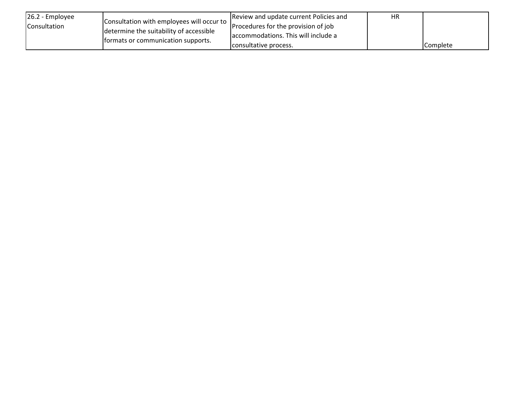| 26.2 - Employee<br><b>Consultation</b> | Consultation with employees will occur to<br>determine the suitability of accessible<br>formats or communication supports. | Review and update current Policies and<br>Procedures for the provision of job | HR |                 |
|----------------------------------------|----------------------------------------------------------------------------------------------------------------------------|-------------------------------------------------------------------------------|----|-----------------|
|                                        |                                                                                                                            | accommodations. This will include a                                           |    |                 |
|                                        |                                                                                                                            | consultative process.                                                         |    | <b>Complete</b> |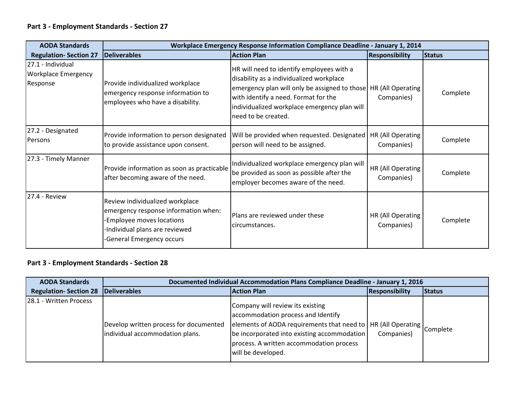| <b>AODA Standards</b>                                | <b>Workplace Emergency Response Information Compliance Deadline - January 1, 2014</b>                                                                              |                                                                                                                                                                                                                                                                           |                                 |               |
|------------------------------------------------------|--------------------------------------------------------------------------------------------------------------------------------------------------------------------|---------------------------------------------------------------------------------------------------------------------------------------------------------------------------------------------------------------------------------------------------------------------------|---------------------------------|---------------|
| <b>Regulation- Section 27</b>                        | Deliverables                                                                                                                                                       | <b>Action Plan</b>                                                                                                                                                                                                                                                        | <b>Responsibility</b>           | <b>Status</b> |
| 27.1 - Individual<br>Workplace Emergency<br>Response | Provide individualized workplace<br>emergency response information to<br>employees who have a disability.                                                          | HR will need to identify employees with a<br>disability as a individualized workplace<br>emergency plan will only be assigned to those   HR (All Operating<br>with identify a need. Format for the<br>individualized workplace emergency plan will<br>need to be created. | Companies)                      | Complete      |
| 27.2 - Designated<br>Persons                         | Provide information to person designated<br>to provide assistance upon consent.                                                                                    | Will be provided when requested. Designated<br>person will need to be assigned.                                                                                                                                                                                           | HR (All Operating<br>Companies) | Complete      |
| 27.3 - Timely Manner                                 | Provide information as soon as practicable<br>after becoming aware of the need.                                                                                    | Individualized workplace emergency plan will<br>be provided as soon as possible after the<br>employer becomes aware of the need.                                                                                                                                          | HR (All Operating<br>Companies) | Complete      |
| 27.4 - Review                                        | Review individualized workplace<br>emergency response information when:<br>-Employee moves locations<br>Individual plans are reviewed<br>-General Emergency occurs | Plans are reviewed under these<br>circumstances.                                                                                                                                                                                                                          | HR (All Operating<br>Companies) | Complete      |

| <b>AODA Standards</b>        | Documented Individual Accommodation Plans Compliance Deadline - January 1, 2016 |                                                                                                                                                                                                                                                                    |                       |               |
|------------------------------|---------------------------------------------------------------------------------|--------------------------------------------------------------------------------------------------------------------------------------------------------------------------------------------------------------------------------------------------------------------|-----------------------|---------------|
| <b>Regulation-Section 28</b> | Deliverables                                                                    | <b>Action Plan</b>                                                                                                                                                                                                                                                 | <b>Responsibility</b> | <b>Status</b> |
| 28.1 - Written Process       | Develop written process for documented<br>individual accommodation plans.       | Company will review its existing<br>accommodation process and Identify<br>elements of AODA requirements that need to  HR (All Operating  Complete<br>be incorporated into existing accommodation<br>process. A written accommodation process<br>will be developed. | Companies)            |               |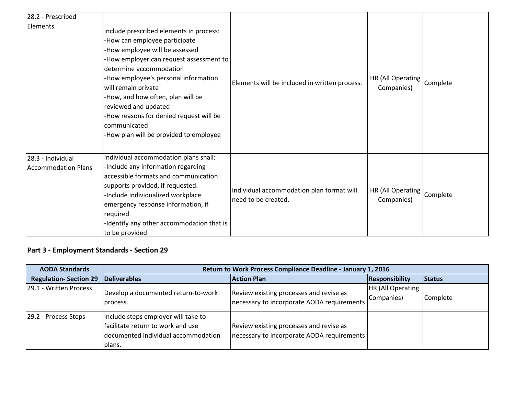| 28.2 - Prescribed                               |                                                                                                                                                                                                                                                                                                                                                                                                                   |                                                                  |                                 |          |
|-------------------------------------------------|-------------------------------------------------------------------------------------------------------------------------------------------------------------------------------------------------------------------------------------------------------------------------------------------------------------------------------------------------------------------------------------------------------------------|------------------------------------------------------------------|---------------------------------|----------|
| Elements                                        | Include prescribed elements in process:<br>-How can employee participate<br>-How employee will be assessed<br>-How employer can request assessment to<br>determine accommodation<br>-How employee's personal information<br>will remain private<br>-How, and how often, plan will be<br>reviewed and updated<br>-How reasons for denied request will be<br>communicated<br>-How plan will be provided to employee | Elements will be included in written process.                    | HR (All Operating<br>Companies) | Complete |
| 28.3 - Individual<br><b>Accommodation Plans</b> | Individual accommodation plans shall:<br>-Include any information regarding<br>accessible formats and communication<br>supports provided, if requested.<br>-Include individualized workplace<br>emergency response information, if<br>required<br>-Identify any other accommodation that is<br>to be provided                                                                                                     | Individual accommodation plan format will<br>need to be created. | HR (All Operating<br>Companies) | Complete |

| <b>AODA Standards</b>        | Return to Work Process Compliance Deadline - January 1, 2016                                                              |                                                                                        |                                        |               |
|------------------------------|---------------------------------------------------------------------------------------------------------------------------|----------------------------------------------------------------------------------------|----------------------------------------|---------------|
| <b>Regulation-Section 29</b> | <b>Deliverables</b>                                                                                                       | <b>Action Plan</b>                                                                     | Responsibility                         | <b>Status</b> |
| 29.1 - Written Process       | Develop a documented return-to-work<br>process.                                                                           | Review existing processes and revise as<br>necessary to incorporate AODA requirements  | <b>HR (All Operating</b><br>Companies) | Complete      |
| 29.2 - Process Steps         | Include steps employer will take to<br>facilitate return to work and use<br>documented individual accommodation<br>plans. | Review existing processes and revise as<br> necessary to incorporate AODA requirements |                                        |               |